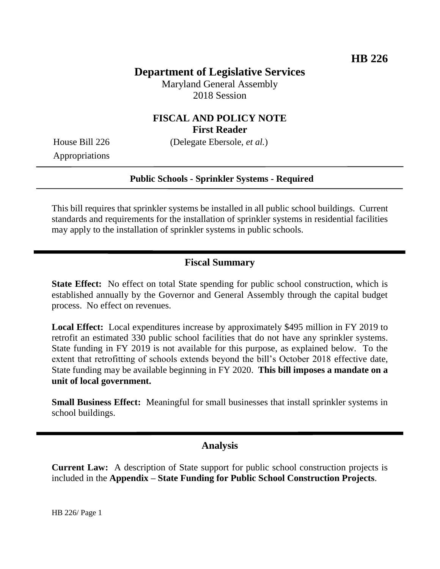# **Department of Legislative Services**

Maryland General Assembly 2018 Session

## **FISCAL AND POLICY NOTE First Reader**

House Bill 226 (Delegate Ebersole, *et al.*)

Appropriations

### **Public Schools - Sprinkler Systems - Required**

This bill requires that sprinkler systems be installed in all public school buildings. Current standards and requirements for the installation of sprinkler systems in residential facilities may apply to the installation of sprinkler systems in public schools.

## **Fiscal Summary**

**State Effect:** No effect on total State spending for public school construction, which is established annually by the Governor and General Assembly through the capital budget process. No effect on revenues.

**Local Effect:** Local expenditures increase by approximately \$495 million in FY 2019 to retrofit an estimated 330 public school facilities that do not have any sprinkler systems. State funding in FY 2019 is not available for this purpose, as explained below. To the extent that retrofitting of schools extends beyond the bill's October 2018 effective date, State funding may be available beginning in FY 2020. **This bill imposes a mandate on a unit of local government.**

**Small Business Effect:** Meaningful for small businesses that install sprinkler systems in school buildings.

## **Analysis**

**Current Law:** A description of State support for public school construction projects is included in the **Appendix – State Funding for Public School Construction Projects**.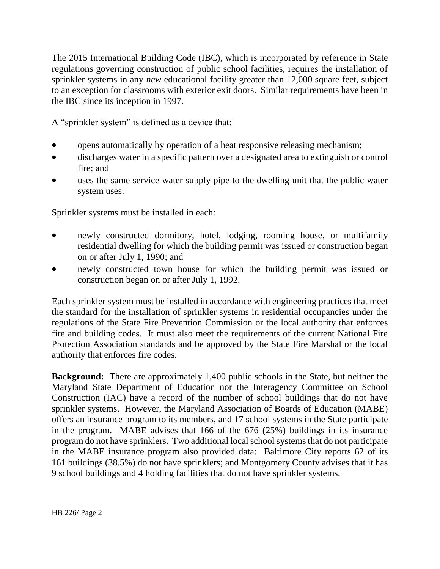The 2015 International Building Code (IBC), which is incorporated by reference in State regulations governing construction of public school facilities, requires the installation of sprinkler systems in any *new* educational facility greater than 12,000 square feet, subject to an exception for classrooms with exterior exit doors. Similar requirements have been in the IBC since its inception in 1997.

A "sprinkler system" is defined as a device that:

- opens automatically by operation of a heat responsive releasing mechanism;
- discharges water in a specific pattern over a designated area to extinguish or control fire; and
- uses the same service water supply pipe to the dwelling unit that the public water system uses.

Sprinkler systems must be installed in each:

- newly constructed dormitory, hotel, lodging, rooming house, or multifamily residential dwelling for which the building permit was issued or construction began on or after July 1, 1990; and
- newly constructed town house for which the building permit was issued or construction began on or after July 1, 1992.

Each sprinkler system must be installed in accordance with engineering practices that meet the standard for the installation of sprinkler systems in residential occupancies under the regulations of the State Fire Prevention Commission or the local authority that enforces fire and building codes. It must also meet the requirements of the current National Fire Protection Association standards and be approved by the State Fire Marshal or the local authority that enforces fire codes.

**Background:** There are approximately 1,400 public schools in the State, but neither the Maryland State Department of Education nor the Interagency Committee on School Construction (IAC) have a record of the number of school buildings that do not have sprinkler systems. However, the Maryland Association of Boards of Education (MABE) offers an insurance program to its members, and 17 school systems in the State participate in the program. MABE advises that 166 of the 676 (25%) buildings in its insurance program do not have sprinklers. Two additional local school systems that do not participate in the MABE insurance program also provided data: Baltimore City reports 62 of its 161 buildings (38.5%) do not have sprinklers; and Montgomery County advises that it has 9 school buildings and 4 holding facilities that do not have sprinkler systems.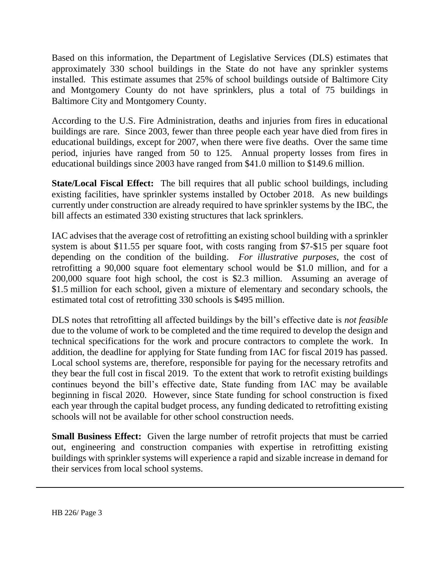Based on this information, the Department of Legislative Services (DLS) estimates that approximately 330 school buildings in the State do not have any sprinkler systems installed. This estimate assumes that 25% of school buildings outside of Baltimore City and Montgomery County do not have sprinklers, plus a total of 75 buildings in Baltimore City and Montgomery County.

According to the U.S. Fire Administration, deaths and injuries from fires in educational buildings are rare. Since 2003, fewer than three people each year have died from fires in educational buildings, except for 2007, when there were five deaths. Over the same time period, injuries have ranged from 50 to 125. Annual property losses from fires in educational buildings since 2003 have ranged from \$41.0 million to \$149.6 million.

**State/Local Fiscal Effect:** The bill requires that all public school buildings, including existing facilities, have sprinkler systems installed by October 2018. As new buildings currently under construction are already required to have sprinkler systems by the IBC, the bill affects an estimated 330 existing structures that lack sprinklers.

IAC advises that the average cost of retrofitting an existing school building with a sprinkler system is about \$11.55 per square foot, with costs ranging from \$7-\$15 per square foot depending on the condition of the building. *For illustrative purposes*, the cost of retrofitting a 90,000 square foot elementary school would be \$1.0 million, and for a 200,000 square foot high school, the cost is \$2.3 million. Assuming an average of \$1.5 million for each school, given a mixture of elementary and secondary schools, the estimated total cost of retrofitting 330 schools is \$495 million.

DLS notes that retrofitting all affected buildings by the bill's effective date is *not feasible* due to the volume of work to be completed and the time required to develop the design and technical specifications for the work and procure contractors to complete the work. In addition, the deadline for applying for State funding from IAC for fiscal 2019 has passed. Local school systems are, therefore, responsible for paying for the necessary retrofits and they bear the full cost in fiscal 2019. To the extent that work to retrofit existing buildings continues beyond the bill's effective date, State funding from IAC may be available beginning in fiscal 2020. However, since State funding for school construction is fixed each year through the capital budget process, any funding dedicated to retrofitting existing schools will not be available for other school construction needs.

**Small Business Effect:** Given the large number of retrofit projects that must be carried out, engineering and construction companies with expertise in retrofitting existing buildings with sprinkler systems will experience a rapid and sizable increase in demand for their services from local school systems.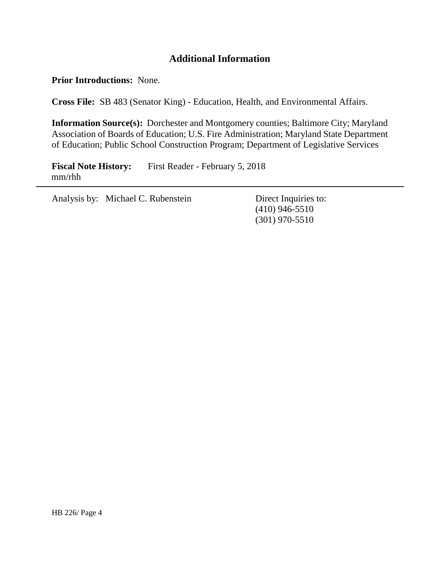# **Additional Information**

**Prior Introductions:** None.

**Cross File:** SB 483 (Senator King) - Education, Health, and Environmental Affairs.

**Information Source(s):** Dorchester and Montgomery counties; Baltimore City; Maryland Association of Boards of Education; U.S. Fire Administration; Maryland State Department of Education; Public School Construction Program; Department of Legislative Services

**Fiscal Note History:** First Reader - February 5, 2018 mm/rhh

Analysis by: Michael C. Rubenstein Direct Inquiries to:

(410) 946-5510 (301) 970-5510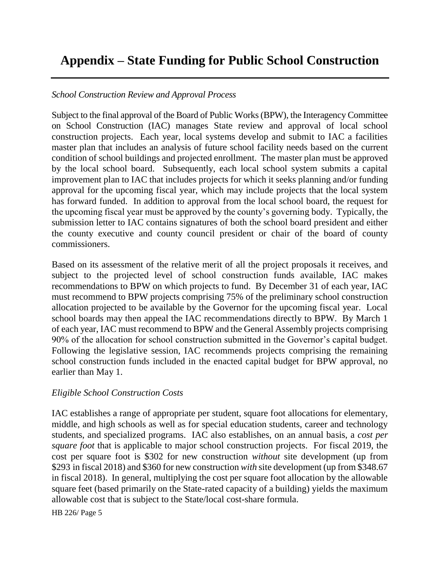# **Appendix – State Funding for Public School Construction**

### *School Construction Review and Approval Process*

Subject to the final approval of the Board of Public Works (BPW), the Interagency Committee on School Construction (IAC) manages State review and approval of local school construction projects. Each year, local systems develop and submit to IAC a facilities master plan that includes an analysis of future school facility needs based on the current condition of school buildings and projected enrollment. The master plan must be approved by the local school board. Subsequently, each local school system submits a capital improvement plan to IAC that includes projects for which it seeks planning and/or funding approval for the upcoming fiscal year, which may include projects that the local system has forward funded. In addition to approval from the local school board, the request for the upcoming fiscal year must be approved by the county's governing body. Typically, the submission letter to IAC contains signatures of both the school board president and either the county executive and county council president or chair of the board of county commissioners.

Based on its assessment of the relative merit of all the project proposals it receives, and subject to the projected level of school construction funds available, IAC makes recommendations to BPW on which projects to fund. By December 31 of each year, IAC must recommend to BPW projects comprising 75% of the preliminary school construction allocation projected to be available by the Governor for the upcoming fiscal year. Local school boards may then appeal the IAC recommendations directly to BPW. By March 1 of each year, IAC must recommend to BPW and the General Assembly projects comprising 90% of the allocation for school construction submitted in the Governor's capital budget. Following the legislative session, IAC recommends projects comprising the remaining school construction funds included in the enacted capital budget for BPW approval, no earlier than May 1.

### *Eligible School Construction Costs*

IAC establishes a range of appropriate per student, square foot allocations for elementary, middle, and high schools as well as for special education students, career and technology students, and specialized programs. IAC also establishes, on an annual basis, a *cost per square foot* that is applicable to major school construction projects. For fiscal 2019, the cost per square foot is \$302 for new construction *without* site development (up from \$293 in fiscal 2018) and \$360 for new construction *with* site development (up from \$348.67 in fiscal 2018). In general, multiplying the cost per square foot allocation by the allowable square feet (based primarily on the State-rated capacity of a building) yields the maximum allowable cost that is subject to the State/local cost-share formula.

HB 226/ Page 5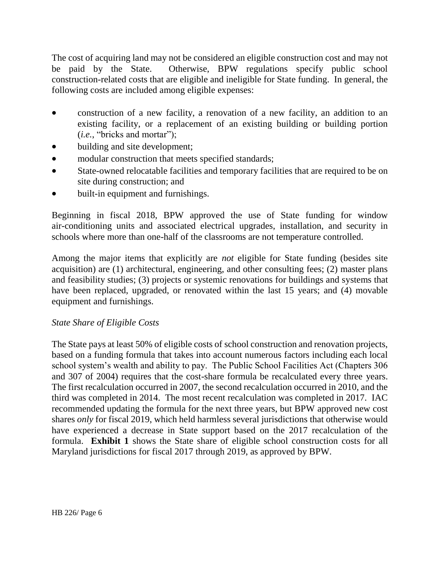The cost of acquiring land may not be considered an eligible construction cost and may not be paid by the State. Otherwise, BPW regulations specify public school construction-related costs that are eligible and ineligible for State funding. In general, the following costs are included among eligible expenses:

- construction of a new facility, a renovation of a new facility, an addition to an existing facility, or a replacement of an existing building or building portion (*i.e.*, "bricks and mortar");
- building and site development;
- modular construction that meets specified standards;
- State-owned relocatable facilities and temporary facilities that are required to be on site during construction; and
- built-in equipment and furnishings.

Beginning in fiscal 2018, BPW approved the use of State funding for window air-conditioning units and associated electrical upgrades, installation, and security in schools where more than one-half of the classrooms are not temperature controlled.

Among the major items that explicitly are *not* eligible for State funding (besides site acquisition) are (1) architectural, engineering, and other consulting fees; (2) master plans and feasibility studies; (3) projects or systemic renovations for buildings and systems that have been replaced, upgraded, or renovated within the last 15 years; and (4) movable equipment and furnishings.

### *State Share of Eligible Costs*

The State pays at least 50% of eligible costs of school construction and renovation projects, based on a funding formula that takes into account numerous factors including each local school system's wealth and ability to pay. The Public School Facilities Act (Chapters 306 and 307 of 2004) requires that the cost-share formula be recalculated every three years. The first recalculation occurred in 2007, the second recalculation occurred in 2010, and the third was completed in 2014. The most recent recalculation was completed in 2017. IAC recommended updating the formula for the next three years, but BPW approved new cost shares *only* for fiscal 2019, which held harmless several jurisdictions that otherwise would have experienced a decrease in State support based on the 2017 recalculation of the formula. **Exhibit 1** shows the State share of eligible school construction costs for all Maryland jurisdictions for fiscal 2017 through 2019, as approved by BPW.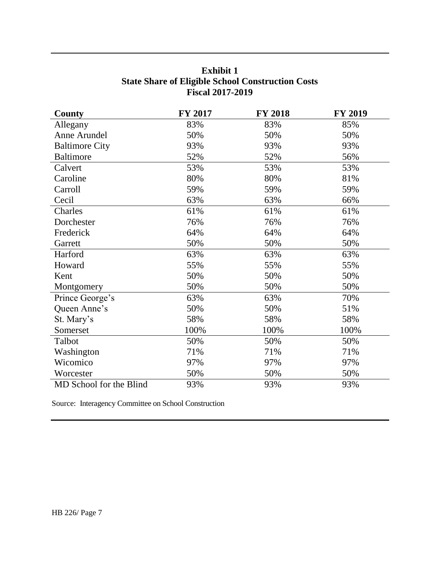| County                  | <b>FY 2017</b> | <b>FY 2018</b> | <b>FY 2019</b> |  |  |
|-------------------------|----------------|----------------|----------------|--|--|
| Allegany                | 83%            | 83%            | 85%            |  |  |
| Anne Arundel            | 50%            | 50%            | 50%            |  |  |
| <b>Baltimore City</b>   | 93%            | 93%            | 93%            |  |  |
| <b>Baltimore</b>        | 52%            | 52%            | 56%            |  |  |
| Calvert                 | 53%            | 53%            | 53%            |  |  |
| Caroline                | 80%            | 80%            | 81%            |  |  |
| Carroll                 | 59%            | 59%            | 59%            |  |  |
| Cecil                   | 63%            | 63%            | 66%            |  |  |
| Charles                 | 61%            | 61%            | 61%            |  |  |
| Dorchester              | 76%            | 76%            | 76%            |  |  |
| Frederick               | 64%            | 64%            | 64%            |  |  |
| Garrett                 | 50%            | 50%            | 50%            |  |  |
| Harford                 | 63%            | 63%            | 63%            |  |  |
| Howard                  | 55%            | 55%            | 55%            |  |  |
| Kent                    | 50%            | 50%            | 50%            |  |  |
| Montgomery              | 50%            | 50%            | 50%            |  |  |
| Prince George's         | 63%            | 63%            | 70%            |  |  |
| Queen Anne's            | 50%            | 50%            | 51%            |  |  |
| St. Mary's              | 58%            | 58%            | 58%            |  |  |
| Somerset                | 100%           | 100%           | 100%           |  |  |
| Talbot                  | 50%            | 50%            | 50%            |  |  |
| Washington              | 71%            | 71%            | 71%            |  |  |
| Wicomico                | 97%            | 97%            | 97%            |  |  |
| Worcester               | 50%            | 50%            | 50%            |  |  |
| MD School for the Blind | 93%            | 93%            | 93%            |  |  |

# **Exhibit 1 State Share of Eligible School Construction Costs Fiscal 2017-2019**

Source: Interagency Committee on School Construction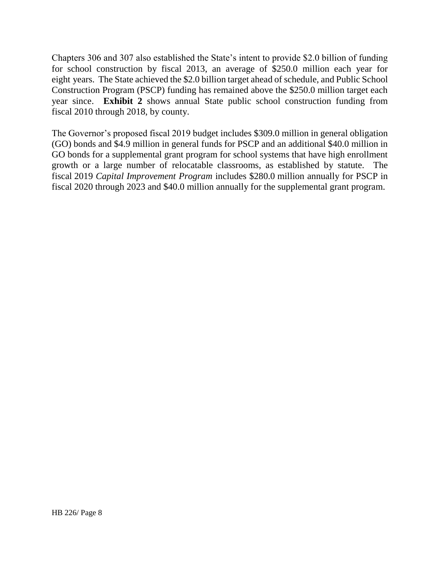Chapters 306 and 307 also established the State's intent to provide \$2.0 billion of funding for school construction by fiscal 2013, an average of \$250.0 million each year for eight years. The State achieved the \$2.0 billion target ahead of schedule, and Public School Construction Program (PSCP) funding has remained above the \$250.0 million target each year since. **Exhibit 2** shows annual State public school construction funding from fiscal 2010 through 2018, by county.

The Governor's proposed fiscal 2019 budget includes \$309.0 million in general obligation (GO) bonds and \$4.9 million in general funds for PSCP and an additional \$40.0 million in GO bonds for a supplemental grant program for school systems that have high enrollment growth or a large number of relocatable classrooms, as established by statute. The fiscal 2019 *Capital Improvement Program* includes \$280.0 million annually for PSCP in fiscal 2020 through 2023 and \$40.0 million annually for the supplemental grant program.